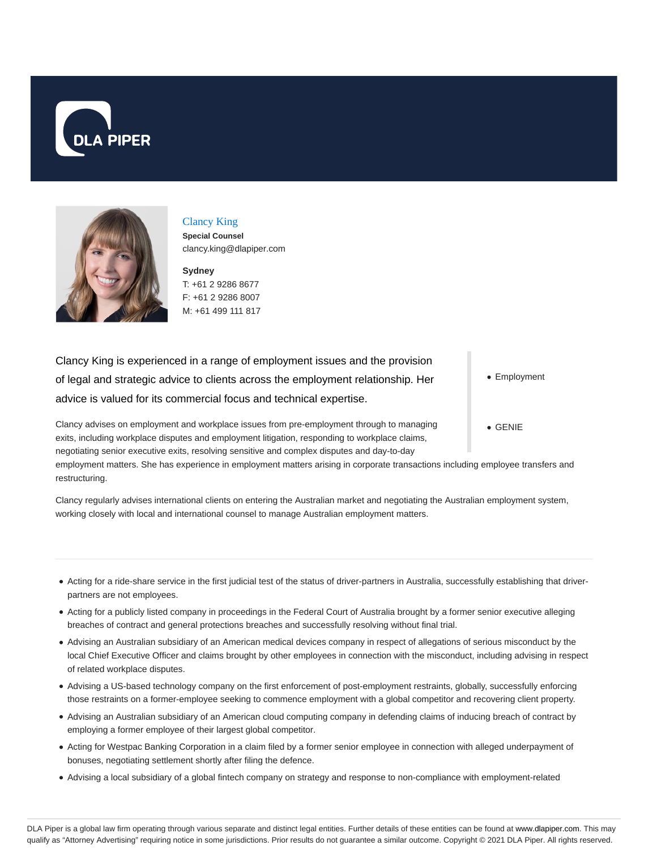



Clancy King

**Special Counsel** clancy.king@dlapiper.com

**Sydney** T: +61 2 9286 8677 F: +61 2 9286 8007 M: +61 499 111 817

Clancy King is experienced in a range of employment issues and the provision of legal and strategic advice to clients across the employment relationship. Her advice is valued for its commercial focus and technical expertise.

Clancy advises on employment and workplace issues from pre-employment through to managing exits, including workplace disputes and employment litigation, responding to workplace claims, negotiating senior executive exits, resolving sensitive and complex disputes and day-to-day

employment matters. She has experience in employment matters arising in corporate transactions including employee transfers and restructuring.

Clancy regularly advises international clients on entering the Australian market and negotiating the Australian employment system, working closely with local and international counsel to manage Australian employment matters.

- Acting for a ride-share service in the first judicial test of the status of driver-partners in Australia, successfully establishing that driverpartners are not employees.
- Acting for a publicly listed company in proceedings in the Federal Court of Australia brought by a former senior executive alleging breaches of contract and general protections breaches and successfully resolving without final trial.
- Advising an Australian subsidiary of an American medical devices company in respect of allegations of serious misconduct by the local Chief Executive Officer and claims brought by other employees in connection with the misconduct, including advising in respect of related workplace disputes.
- Advising a US-based technology company on the first enforcement of post-employment restraints, globally, successfully enforcing those restraints on a former-employee seeking to commence employment with a global competitor and recovering client property.
- Advising an Australian subsidiary of an American cloud computing company in defending claims of inducing breach of contract by employing a former employee of their largest global competitor.
- Acting for Westpac Banking Corporation in a claim filed by a former senior employee in connection with alleged underpayment of bonuses, negotiating settlement shortly after filing the defence.
- Advising a local subsidiary of a global fintech company on strategy and response to non-compliance with employment-related

• Employment

GENIE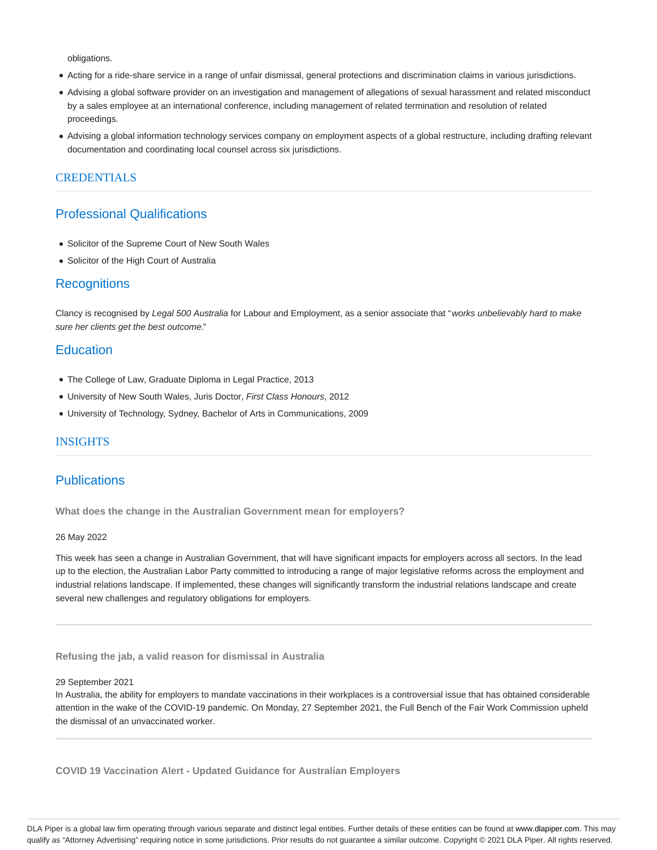obligations.

- Acting for a ride-share service in a range of unfair dismissal, general protections and discrimination claims in various jurisdictions.
- Advising a global software provider on an investigation and management of allegations of sexual harassment and related misconduct by a sales employee at an international conference, including management of related termination and resolution of related proceedings.
- Advising a global information technology services company on employment aspects of a global restructure, including drafting relevant documentation and coordinating local counsel across six jurisdictions.

## **CREDENTIALS**

# Professional Qualifications

- Solicitor of the Supreme Court of New South Wales
- Solicitor of the High Court of Australia

# **Recognitions**

Clancy is recognised by Legal 500 Australia for Labour and Employment, as a senior associate that "works unbelievably hard to make sure her clients get the best outcome."

# **Education**

- The College of Law, Graduate Diploma in Legal Practice, 2013
- University of New South Wales, Juris Doctor, First Class Honours, 2012
- University of Technology, Sydney, Bachelor of Arts in Communications, 2009

## INSIGHTS

# **Publications**

**What does the change in the Australian Government mean for employers?**

### 26 May 2022

This week has seen a change in Australian Government, that will have significant impacts for employers across all sectors. In the lead up to the election, the Australian Labor Party committed to introducing a range of major legislative reforms across the employment and industrial relations landscape. If implemented, these changes will significantly transform the industrial relations landscape and create several new challenges and regulatory obligations for employers.

**Refusing the jab, a valid reason for dismissal in Australia**

#### 29 September 2021

In Australia, the ability for employers to mandate vaccinations in their workplaces is a controversial issue that has obtained considerable attention in the wake of the COVID-19 pandemic. On Monday, 27 September 2021, the Full Bench of the Fair Work Commission upheld the dismissal of an unvaccinated worker.

**COVID 19 Vaccination Alert - Updated Guidance for Australian Employers**

DLA Piper is a global law firm operating through various separate and distinct legal entities. Further details of these entities can be found at www.dlapiper.com. This may qualify as "Attorney Advertising" requiring notice in some jurisdictions. Prior results do not guarantee a similar outcome. Copyright @ 2021 DLA Piper. All rights reserved.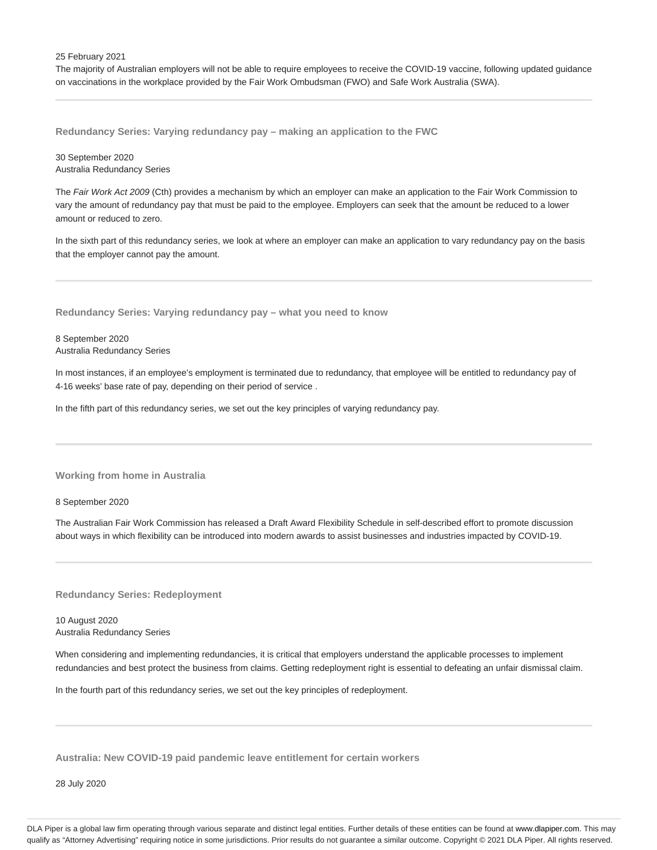25 February 2021

The majority of Australian employers will not be able to require employees to receive the COVID-19 vaccine, following updated guidance on vaccinations in the workplace provided by the Fair Work Ombudsman (FWO) and Safe Work Australia (SWA).

**Redundancy Series: Varying redundancy pay – making an application to the FWC**

30 September 2020 Australia Redundancy Series

The Fair Work Act 2009 (Cth) provides a mechanism by which an employer can make an application to the Fair Work Commission to vary the amount of redundancy pay that must be paid to the employee. Employers can seek that the amount be reduced to a lower amount or reduced to zero.

In the sixth part of this redundancy series, we look at where an employer can make an application to vary redundancy pay on the basis that the employer cannot pay the amount.

**Redundancy Series: Varying redundancy pay – what you need to know**

8 September 2020 Australia Redundancy Series

In most instances, if an employee's employment is terminated due to redundancy, that employee will be entitled to redundancy pay of 4-16 weeks' base rate of pay, depending on their period of service .

In the fifth part of this redundancy series, we set out the key principles of varying redundancy pay.

**Working from home in Australia**

8 September 2020

The Australian Fair Work Commission has released a Draft Award Flexibility Schedule in self-described effort to promote discussion about ways in which flexibility can be introduced into modern awards to assist businesses and industries impacted by COVID-19.

**Redundancy Series: Redeployment**

10 August 2020 Australia Redundancy Series

When considering and implementing redundancies, it is critical that employers understand the applicable processes to implement redundancies and best protect the business from claims. Getting redeployment right is essential to defeating an unfair dismissal claim.

In the fourth part of this redundancy series, we set out the key principles of redeployment.

**Australia: New COVID-19 paid pandemic leave entitlement for certain workers**

28 July 2020

DLA Piper is a global law firm operating through various separate and distinct legal entities. Further details of these entities can be found at www.dlapiper.com. This may qualify as "Attorney Advertising" requiring notice in some jurisdictions. Prior results do not guarantee a similar outcome. Copyright @ 2021 DLA Piper. All rights reserved.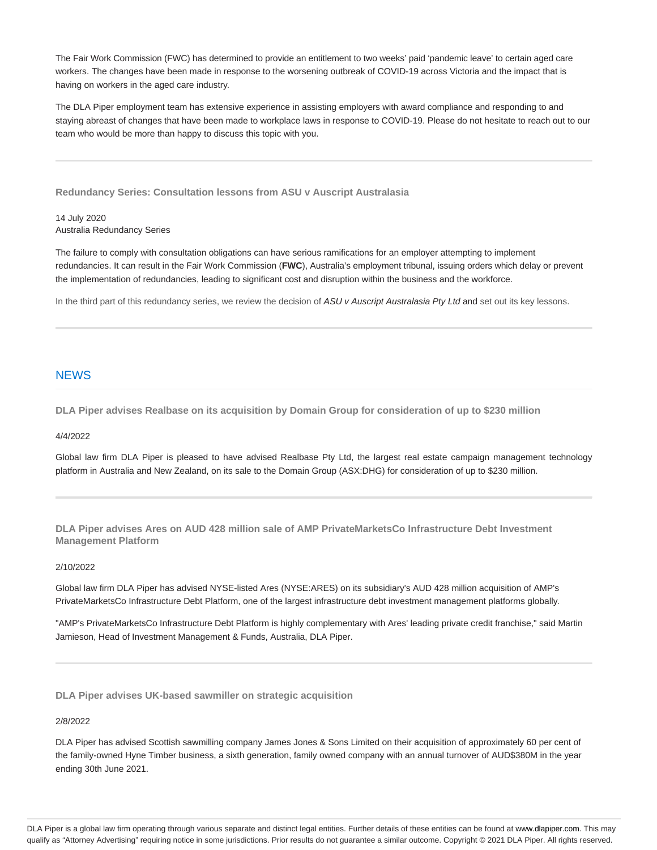The Fair Work Commission (FWC) has determined to provide an entitlement to two weeks' paid 'pandemic leave' to certain aged care workers. The changes have been made in response to the worsening outbreak of COVID-19 across Victoria and the impact that is having on workers in the aged care industry.

The DLA Piper employment team has extensive experience in assisting employers with award compliance and responding to and staying abreast of changes that have been made to workplace laws in response to COVID-19. Please do not hesitate to reach out to our team who would be more than happy to discuss this topic with you.

**Redundancy Series: Consultation lessons from ASU v Auscript Australasia**

14 July 2020 Australia Redundancy Series

The failure to comply with consultation obligations can have serious ramifications for an employer attempting to implement redundancies. It can result in the Fair Work Commission (**FWC**), Australia's employment tribunal, issuing orders which delay or prevent the implementation of redundancies, leading to significant cost and disruption within the business and the workforce.

In the third part of this redundancy series, we review the decision of ASU v Auscript Australasia Pty Ltd and set out its key lessons.

# **NEWS**

**DLA Piper advises Realbase on its acquisition by Domain Group for consideration of up to \$230 million**

### 4/4/2022

Global law firm DLA Piper is pleased to have advised Realbase Pty Ltd, the largest real estate campaign management technology platform in Australia and New Zealand, on its sale to the Domain Group (ASX:DHG) for consideration of up to \$230 million.

**DLA Piper advises Ares on AUD 428 million sale of AMP PrivateMarketsCo Infrastructure Debt Investment Management Platform**

### 2/10/2022

Global law firm DLA Piper has advised NYSE-listed Ares (NYSE:ARES) on its subsidiary's AUD 428 million acquisition of AMP's PrivateMarketsCo Infrastructure Debt Platform, one of the largest infrastructure debt investment management platforms globally.

"AMP's PrivateMarketsCo Infrastructure Debt Platform is highly complementary with Ares' leading private credit franchise," said Martin Jamieson, Head of Investment Management & Funds, Australia, DLA Piper.

**DLA Piper advises UK-based sawmiller on strategic acquisition**

### 2/8/2022

DLA Piper has advised Scottish sawmilling company James Jones & Sons Limited on their acquisition of approximately 60 per cent of the family-owned Hyne Timber business, a sixth generation, family owned company with an annual turnover of AUD\$380M in the year ending 30th June 2021.

DLA Piper is a global law firm operating through various separate and distinct legal entities. Further details of these entities can be found at www.dlapiper.com. This may qualify as "Attorney Advertising" requiring notice in some jurisdictions. Prior results do not guarantee a similar outcome. Copyright @ 2021 DLA Piper. All rights reserved.